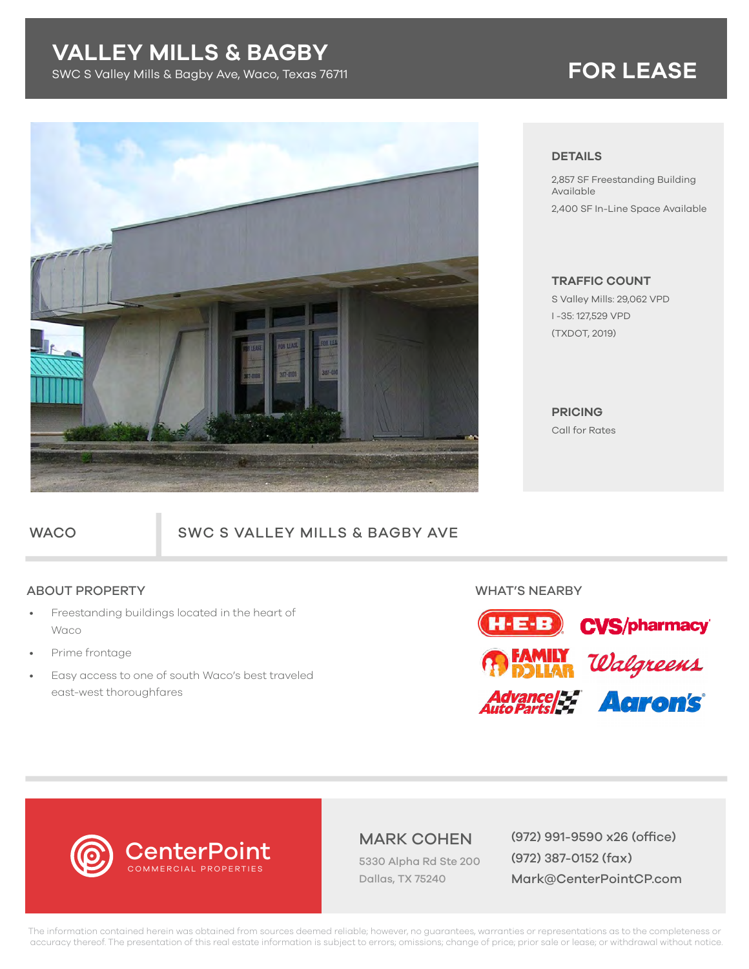# **VALLEY MILLS & BAGBY**

SWC S Valley Mills & Bagby Ave, Waco, Texas 76711 **FOR LEASE**



### **DETAILS**

2,857 SF Freestanding Building Available 2,400 SF In-Line Space Available

## **TRAFFIC COUNT**

S Valley Mills: 29,062 VPD I -35: 127,529 VPD (TXDOT, 2019)

**PRICING**  Call for Rates

## WACO SWC S VALLEY MILLS & BAGBY AVE

## ABOUT PROPERTY WHAT'S NEARBY

- Freestanding buildings located in the heart of Waco
- Prime frontage
- Easy access to one of south Waco's best traveled east-west thoroughfares



# **CenterPoint** COMMERCIAL PROPERTIES

5330 Alpha Rd Ste 200 Dallas, TX 75240

MARK COHEN (972) 991-9590 x26 (office) (972) 387-0152 (fax) Mark@CenterPointCP.com

The information contained herein was obtained from sources deemed reliable; however, no guarantees, warranties or representations as to the completeness or accuracy thereof. The presentation of this real estate information is subject to errors; omissions; change of price; prior sale or lease; or withdrawal without notice.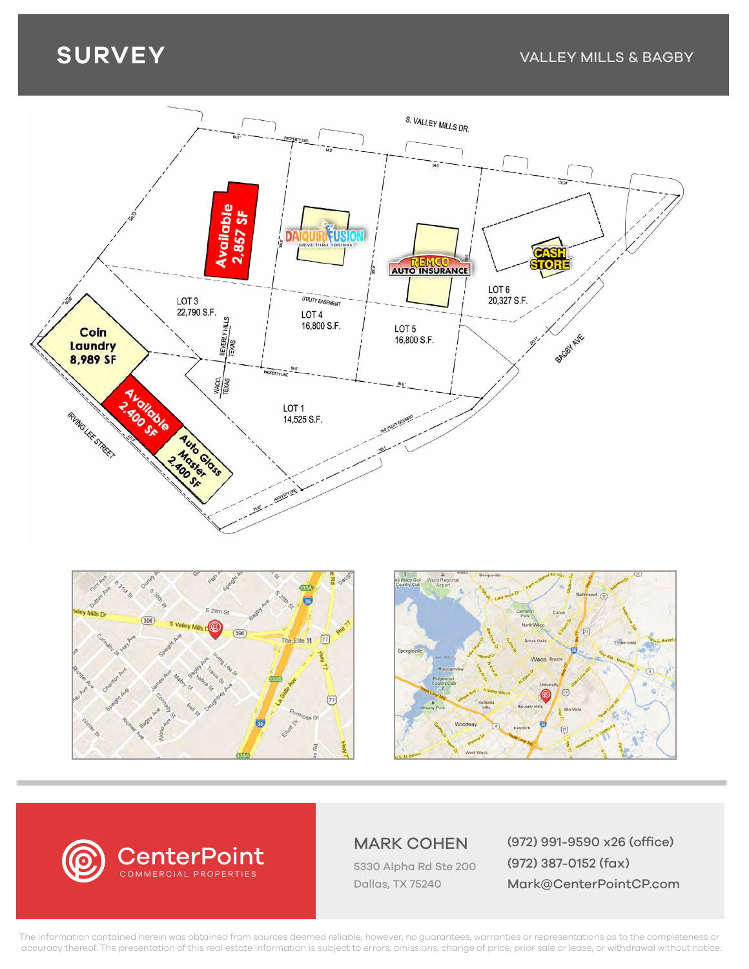# **SURVEY**





5330 Alpha Rd Ste 200

Dallas, TX 75240

MARK COHEN (972) 991-9590 x26 (office) (972) 387-0152 (fax) Mark@CenterPointCP.com

The information contained herein was obtained from sources deemed reliable; however, no guarantees, warranties or representations as to the completeness or accuracy thereof. The presentation of this real estate information is subject to errors; omissions; change of price; prior sale or lease; or withdrawal without notice.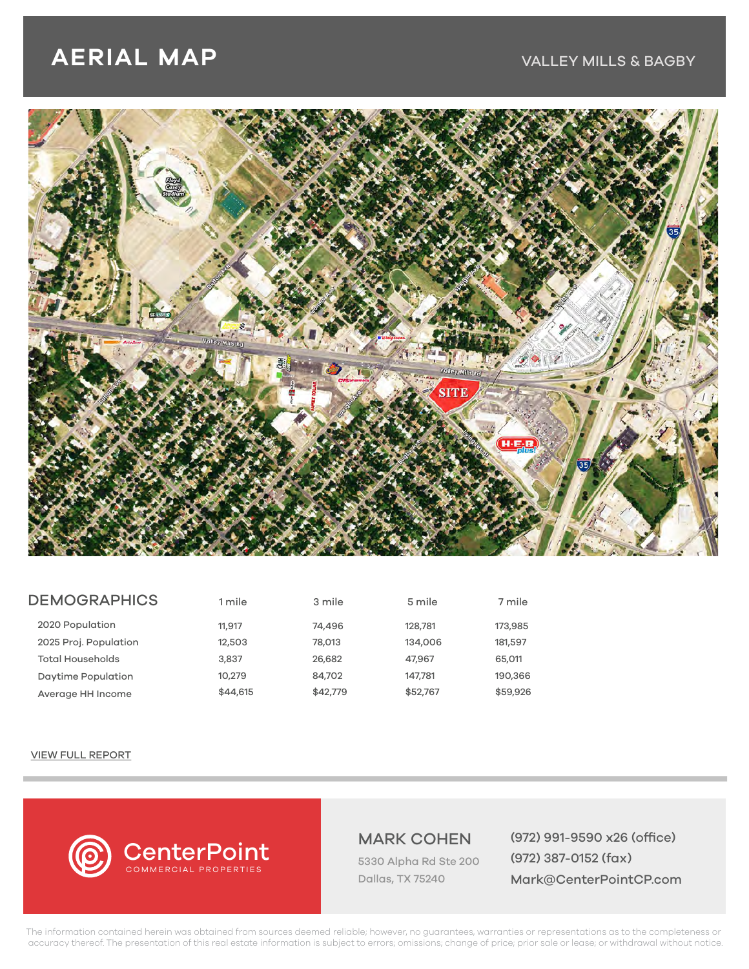# **AERIAL MAP**

## VALLEY MILLS & BAGBY



| <b>DEMOGRAPHICS</b>       | 1 mile   | 3 mile   | 5 mile   | 7 mile   |
|---------------------------|----------|----------|----------|----------|
| 2020 Population           | 11,917   | 74,496   | 128,781  | 173,985  |
| 2025 Proj. Population     | 12,503   | 78,013   | 134,006  | 181,597  |
| <b>Total Households</b>   | 3,837    | 26,682   | 47,967   | 65,011   |
| <b>Daytime Population</b> | 10,279   | 84,702   | 147,781  | 190,366  |
| Average HH Income         | \$44,615 | \$42,779 | \$52,767 | \$59,926 |

### [VIEW FULL REPORT](https://centerpointcp.com/assets/pdfs/Demo%20Waco.pdf)



5330 Alpha Rd Ste 200 Dallas, TX 75240

MARK COHEN (972) 991-9590 x26 (office) (972) 387-0152 (fax) Mark@CenterPointCP.com

The information contained herein was obtained from sources deemed reliable; however, no guarantees, warranties or representations as to the completeness or accuracy thereof. The presentation of this real estate information is subject to errors; omissions; change of price; prior sale or lease; or withdrawal without notice.